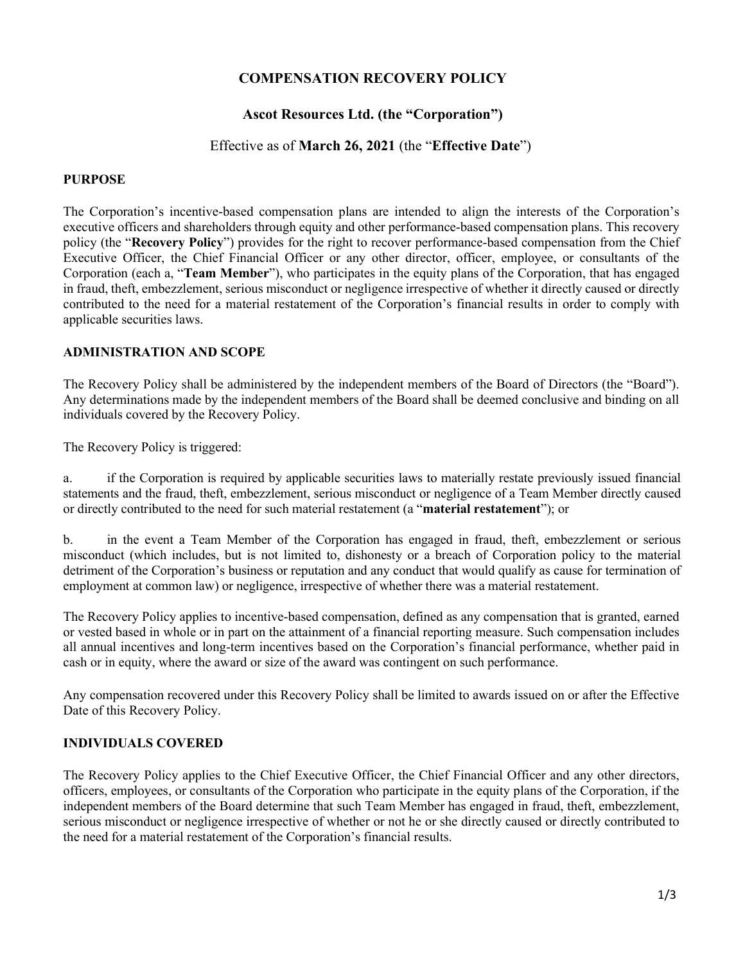# COMPENSATION RECOVERY POLICY

# Ascot Resources Ltd. (the "Corporation")

## Effective as of March 26, 2021 (the "Effective Date")

### PURPOSE

The Corporation's incentive-based compensation plans are intended to align the interests of the Corporation's executive officers and shareholders through equity and other performance-based compensation plans. This recovery policy (the "Recovery Policy") provides for the right to recover performance-based compensation from the Chief Executive Officer, the Chief Financial Officer or any other director, officer, employee, or consultants of the Corporation (each a, "Team Member"), who participates in the equity plans of the Corporation, that has engaged in fraud, theft, embezzlement, serious misconduct or negligence irrespective of whether it directly caused or directly contributed to the need for a material restatement of the Corporation's financial results in order to comply with applicable securities laws.

## ADMINISTRATION AND SCOPE

The Recovery Policy shall be administered by the independent members of the Board of Directors (the "Board"). Any determinations made by the independent members of the Board shall be deemed conclusive and binding on all individuals covered by the Recovery Policy.

The Recovery Policy is triggered:

a. if the Corporation is required by applicable securities laws to materially restate previously issued financial statements and the fraud, theft, embezzlement, serious misconduct or negligence of a Team Member directly caused or directly contributed to the need for such material restatement (a "material restatement"); or

b. in the event a Team Member of the Corporation has engaged in fraud, theft, embezzlement or serious misconduct (which includes, but is not limited to, dishonesty or a breach of Corporation policy to the material detriment of the Corporation's business or reputation and any conduct that would qualify as cause for termination of employment at common law) or negligence, irrespective of whether there was a material restatement.

The Recovery Policy applies to incentive-based compensation, defined as any compensation that is granted, earned or vested based in whole or in part on the attainment of a financial reporting measure. Such compensation includes all annual incentives and long-term incentives based on the Corporation's financial performance, whether paid in cash or in equity, where the award or size of the award was contingent on such performance.

Any compensation recovered under this Recovery Policy shall be limited to awards issued on or after the Effective Date of this Recovery Policy.

### INDIVIDUALS COVERED

The Recovery Policy applies to the Chief Executive Officer, the Chief Financial Officer and any other directors, officers, employees, or consultants of the Corporation who participate in the equity plans of the Corporation, if the independent members of the Board determine that such Team Member has engaged in fraud, theft, embezzlement, serious misconduct or negligence irrespective of whether or not he or she directly caused or directly contributed to the need for a material restatement of the Corporation's financial results.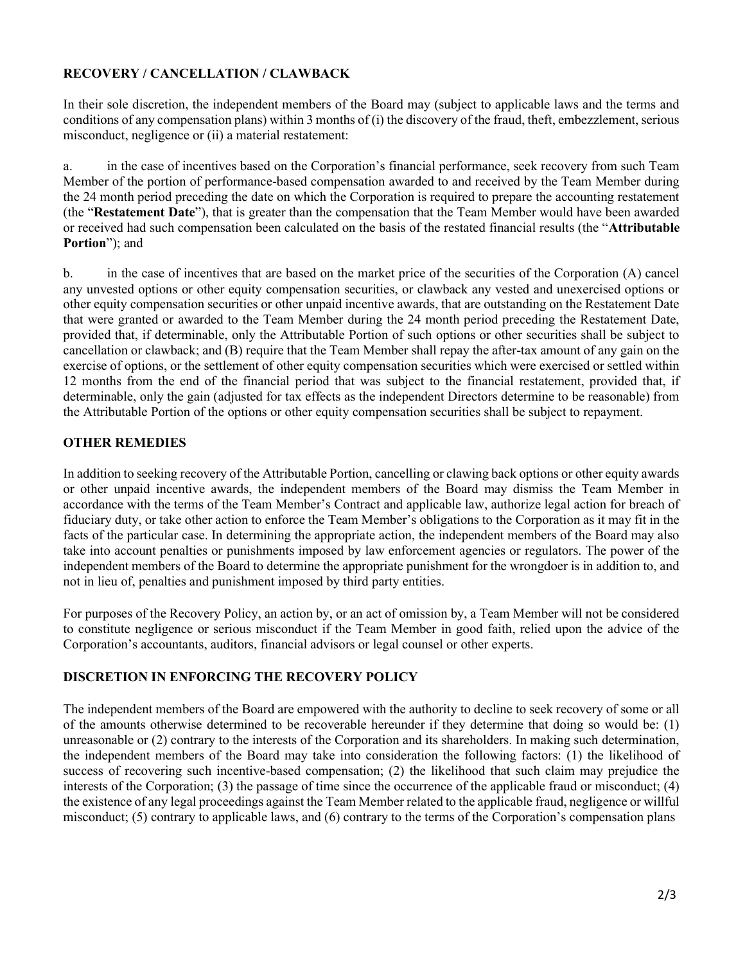# RECOVERY / CANCELLATION / CLAWBACK

In their sole discretion, the independent members of the Board may (subject to applicable laws and the terms and conditions of any compensation plans) within 3 months of (i) the discovery of the fraud, theft, embezzlement, serious misconduct, negligence or (ii) a material restatement:

a. in the case of incentives based on the Corporation's financial performance, seek recovery from such Team Member of the portion of performance-based compensation awarded to and received by the Team Member during the 24 month period preceding the date on which the Corporation is required to prepare the accounting restatement (the "Restatement Date"), that is greater than the compensation that the Team Member would have been awarded or received had such compensation been calculated on the basis of the restated financial results (the "Attributable Portion"); and

b. in the case of incentives that are based on the market price of the securities of the Corporation (A) cancel any unvested options or other equity compensation securities, or clawback any vested and unexercised options or other equity compensation securities or other unpaid incentive awards, that are outstanding on the Restatement Date that were granted or awarded to the Team Member during the 24 month period preceding the Restatement Date, provided that, if determinable, only the Attributable Portion of such options or other securities shall be subject to cancellation or clawback; and (B) require that the Team Member shall repay the after-tax amount of any gain on the exercise of options, or the settlement of other equity compensation securities which were exercised or settled within 12 months from the end of the financial period that was subject to the financial restatement, provided that, if determinable, only the gain (adjusted for tax effects as the independent Directors determine to be reasonable) from the Attributable Portion of the options or other equity compensation securities shall be subject to repayment.

# OTHER REMEDIES

In addition to seeking recovery of the Attributable Portion, cancelling or clawing back options or other equity awards or other unpaid incentive awards, the independent members of the Board may dismiss the Team Member in accordance with the terms of the Team Member's Contract and applicable law, authorize legal action for breach of fiduciary duty, or take other action to enforce the Team Member's obligations to the Corporation as it may fit in the facts of the particular case. In determining the appropriate action, the independent members of the Board may also take into account penalties or punishments imposed by law enforcement agencies or regulators. The power of the independent members of the Board to determine the appropriate punishment for the wrongdoer is in addition to, and not in lieu of, penalties and punishment imposed by third party entities.

For purposes of the Recovery Policy, an action by, or an act of omission by, a Team Member will not be considered to constitute negligence or serious misconduct if the Team Member in good faith, relied upon the advice of the Corporation's accountants, auditors, financial advisors or legal counsel or other experts.

# DISCRETION IN ENFORCING THE RECOVERY POLICY

The independent members of the Board are empowered with the authority to decline to seek recovery of some or all of the amounts otherwise determined to be recoverable hereunder if they determine that doing so would be: (1) unreasonable or (2) contrary to the interests of the Corporation and its shareholders. In making such determination, the independent members of the Board may take into consideration the following factors: (1) the likelihood of success of recovering such incentive-based compensation; (2) the likelihood that such claim may prejudice the interests of the Corporation; (3) the passage of time since the occurrence of the applicable fraud or misconduct; (4) the existence of any legal proceedings against the Team Member related to the applicable fraud, negligence or willful misconduct; (5) contrary to applicable laws, and (6) contrary to the terms of the Corporation's compensation plans